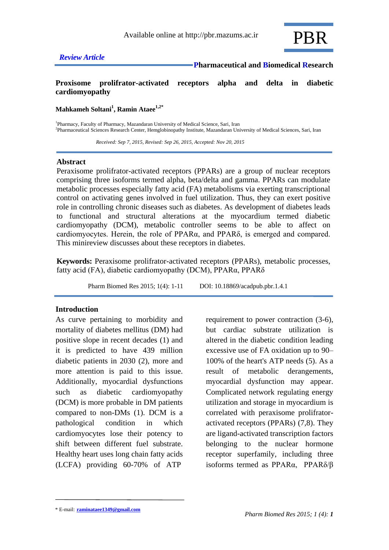

### **Proxisome prolifrator-activated receptors alpha and delta in diabetic cardiomyopathy**

**Mahkameh Soltani<sup>1</sup> , Ramin Ataee1,2\***

<sup>1</sup>Pharmacy, Faculty of Pharmacy, Mazandaran University of Medical Science, Sari, Iran 2 Pharmaceutical Sciences Research Center, Hemglobinopathy Institute, Mazandaran University of Medical Sciences, Sari, Iran

 *Received: Sep 7, 2015, Revised: Sep 26, 2015, Accepted: Nov 20, 2015*

### **Abstract**

Peraxisome prolifrator-activated receptors (PPARs) are a group of nuclear receptors comprising three isoforms termed alpha, beta/delta and gamma. PPARs can modulate metabolic processes especially fatty acid (FA) metabolisms via exerting transcriptional control on activating genes involved in fuel utilization. Thus, they can exert positive role in controlling chronic diseases such as diabetes. As development of diabetes leads to functional and structural alterations at the myocardium termed diabetic cardiomyopathy (DCM), metabolic controller seems to be able to affect on cardiomyocytes. Herein, the role of PPARα, and PPARδ, is emerged and compared. This minireview discusses about these receptors in diabetes.

**Keywords:** Peraxisome prolifrator-activated receptors (PPARs), metabolic processes, fatty acid (FA), diabetic cardiomyopathy (DCM), PPARα, PPARδ

Pharm Biomed Res 2015; 1(4): 1-11 DOI: 10.18869/acadpub.pbr.1.4.1

### **Introduction**

As curve pertaining to morbidity and mortality of diabetes mellitus (DM) had positive slope in recent decades (1) and it is predicted to have 439 million diabetic patients in 2030 (2), more and more attention is paid to this issue. Additionally, myocardial dysfunctions such as diabetic cardiomyopathy (DCM) is more probable in DM patients compared to non-DMs (1). DCM is a pathological condition in which cardiomyocytes lose their potency to shift between different fuel substrate. Healthy heart uses long chain fatty acids (LCFA) providing 60-70% of ATP

requirement to power contraction (3-6), but cardiac substrate utilization is altered in the diabetic condition leading excessive use of FA oxidation up to 90– 100% of the heart's ATP needs (5). As a result of metabolic derangements, myocardial dysfunction may appear. Complicated network regulating energy utilization and storage in myocardium is correlated with peraxisome prolifratoractivated receptors (PPARs) (7,8). They are ligand-activated transcription factors belonging to the nuclear hormone receptor superfamily, including three isoforms termed as PPARα, PPARδ/β

<sup>\*</sup> E-mail: **raminataee1349@gmail.com**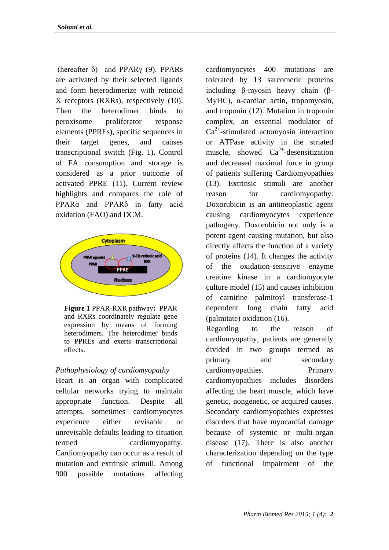(hereafter  $\delta$ ) and PPAR<sub>γ</sub> (9). PPAR<sub>s</sub> are activated by their selected ligands and form heterodimerize with retinoid X receptors (RXRs), respectively (10). Then the heterodimer binds to peroxisome proliferator response elements (PPREs), specific sequences in their target genes, and causes transcriptional switch (Fig. 1). Control of FA consumption and storage is considered as a prior outcome of activated PPRE (11). Current review highlights and compares the role of PPARα and PPARδ in fatty acid oxidation (FAO) and DCM.



**Figure 1** PPAR-RXR pathway**:** PPAR and RXRs coordinately regulate gene expression by means of forming heterodimers. The heterodimer binds to PPREs and exerts transcriptional effects.

## *Pathophysiology of cardiomyopathy*

Heart is an organ with complicated cellular networks trying to maintain appropriate function. Despite all attempts, sometimes cardiomyocytes experience either revisable or unrevisable defaults leading to situation termed cardiomyopathy. Cardiomyopathy can occur as a result of mutation and extrinsic stimuli. Among 900 possible mutations affecting

cardiomyocytes 400 mutations are tolerated by 13 sarcomeric proteins including β-myosin heavy chain (β-MyHC), α-cardiac actin, tropomyosin, and troponin (12). Mutation in troponin complex, an essential modulator of  $Ca<sup>2+</sup>$ -stimulated actomyosin interaction or ATPase activity in the striated muscle, showed  $Ca^{2+}$ -desensitization and decreased maximal force in group of patients suffering Cardiomyopathies (13). Extrinsic stimuli are another reason for cardiomyopathy. Doxorubicin is an antineoplastic agent causing cardiomyocytes experience pathogeny. Doxorubicin not only is a potent agent causing mutation, but also directly affects the function of a variety of proteins (14). It changes the activity of the oxidation-sensitive enzyme creatine kinase in a cardiomyocyte culture model (15) and causes inhibition of carnitine palmitoyl transferase-1 dependent long chain fatty acid (palmitate) oxidation (16). Regarding to the reason of cardiomyopathy, patients are generally divided in two groups termed as primary and secondary cardiomyopathies. Primary cardiomyopathies includes disorders affecting the heart muscle, which have genetic, nongenetic, or acquired causes. Secondary cardiomyopathies expresses disorders that have myocardial damage because of systemic or multi-organ disease (17). There is also another

characterization depending on the type of functional impairment of the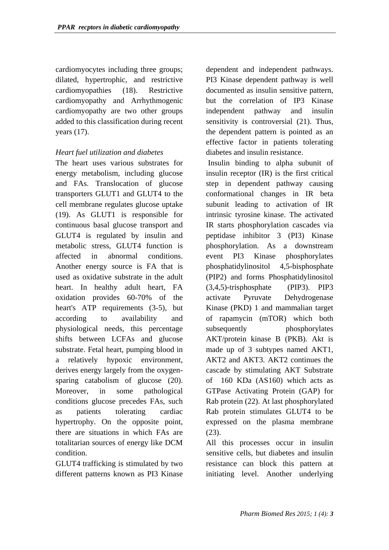cardiomyocytes including three groups; dilated, hypertrophic, and restrictive cardiomyopathies (18). Restrictive cardiomyopathy and Arrhythmogenic cardiomyopathy are two other groups added to this classification during recent years (17).

## *Heart fuel utilization and diabetes*

The heart uses various substrates for energy metabolism, including glucose and FAs. Translocation of glucose transporters GLUT1 and GLUT4 to the cell membrane regulates glucose uptake (19). As GLUT1 is responsible for continuous basal glucose transport and GLUT4 is regulated by insulin and metabolic stress, GLUT4 function is affected in abnormal conditions. Another energy source is FA that is used as oxidative substrate in the adult heart. In healthy adult heart, FA oxidation provides 60-70% of the heart's ATP requirements (3-5), but according to availability and physiological needs, this percentage shifts between LCFAs and glucose substrate. Fetal heart, pumping blood in a relatively hypoxic environment, derives energy largely from the oxygensparing catabolism of glucose  $(20)$ . Moreover, in some pathological conditions glucose precedes FAs, such as patients tolerating cardiac hypertrophy. On the opposite point, there are situations in which FAs are totalitarian sources of energy like DCM condition.

GLUT4 trafficking is stimulated by two different patterns known as PI3 Kinase

dependent and independent pathways. PI3 Kinase dependent pathway is well documented as insulin sensitive pattern, but the correlation of IP3 Kinase independent pathway and insulin sensitivity is controversial (21). Thus, the dependent pattern is pointed as an effective factor in patients tolerating diabetes and insulin resistance.

Insulin binding to alpha subunit of insulin receptor (IR) is the first critical step in dependent pathway causing conformational changes in IR beta subunit leading to activation of IR intrinsic tyrosine kinase. The activated IR starts phosphorylation cascades via peptidase inhibitor 3 (PI3) Kinase phosphorylation. As a downstream event PI3 Kinase phosphorylates phosphatidylinositol 4,5-bisphosphate (PIP2) and forms Phosphatidylinositol (3,4,5)-trisphosphate (PIP3). PIP3 activate Pyruvate Dehydrogenase Kinase (PKD) 1 and mammalian target of rapamycin (mTOR) which both subsequently phosphorylates AKT/protein kinase B (PKB). Akt is made up of 3 subtypes named AKT1, AKT2 and AKT3. AKT2 continues the cascade by stimulating AKT Substrate of 160 KDa (AS160) which acts as GTPase Activating Protein (GAP) for Rab protein (22). At last phosphorylated Rab protein stimulates GLUT4 to be expressed on the plasma membrane (23).

All this processes occur in insulin sensitive cells, but diabetes and insulin resistance can block this pattern at initiating level. Another underlying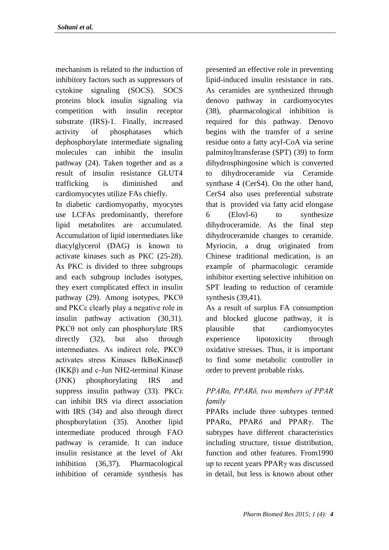mechanism is related to the induction of inhibitory factors such as suppressors of cytokine signaling (SOCS). SOCS proteins block insulin signaling via competition with insulin receptor substrate (IRS)-1. Finally, increased activity of phosphatases which dephosphorylate intermediate signaling molecules can inhibit the insulin pathway (24). Taken together and as a result of insulin resistance GLUT4 trafficking is diminished and cardiomyocytes utilize FAs chiefly.

In diabetic cardiomyopathy, myocytes use LCFAs predominantly, therefore lipid metabolites are accumulated. Accumulation of lipid intermediates like diacylglycerol (DAG) is known to activate kinases such as PKC (25-28). As PKC is divided to three subgroups and each subgroup includes isotypes, they exert complicated effect in insulin pathway (29). Among isotypes, PKCθ and PKCε clearly play a negative role in insulin pathway activation (30,31). PKCθ not only can phosphorylate IRS directly (32), but also through intermediates. As indirect role, PKCθ activates stress Kinases IkBαKinaseβ (IKKβ) and c-Jun NH2-terminal Kinase (JNK) phosphorylating IRS and suppress insulin pathway (33). PKCε can inhibit IRS via direct association with IRS (34) and also through direct phosphorylation (35). Another lipid intermediate produced through FAO pathway is ceramide. It can induce insulin resistance at the level of Akt inhibition (36,37). Pharmacological inhibition of ceramide synthesis has

presented an effective role in preventing lipid-induced insulin resistance in rats. As ceramides are synthesized through denovo pathway in cardiomyocytes (38), pharmacological inhibition is required for this pathway. Denovo begins with the transfer of a serine residue onto a fatty acyl-CoA via serine palmitoyltransferase (SPT) (39) to form dihydrosphingosine which is converted to dihydroceramide via Ceramide synthase 4 (CerS4). On the other hand, CerS4 also uses preferential substrate that is provided via fatty acid elongase 6 (Elovl-6) to synthesize dihydroceramide. As the final step dihydroceramide changes to ceramide. Myriocin, a drug originated from Chinese traditional medication, is an example of pharmacologic ceramide inhibitor exerting selective inhibition on SPT leading to reduction of ceramide synthesis (39,41).

As a result of surplus FA consumption and blocked glucose pathway, it is plausible that cardiomyocytes experience lipotoxicity through oxidative stresses. Thus, it is important to find some metabolic controller in order to prevent probable risks.

## *PPARα, PPARδ, two members of PPAR family*

PPARs include three subtypes termed PPARα, PPARδ and PPARγ. The subtypes have different characteristics including structure, tissue distribution, function and other features. From1990 up to recent years PPARγ was discussed in detail, but less is known about other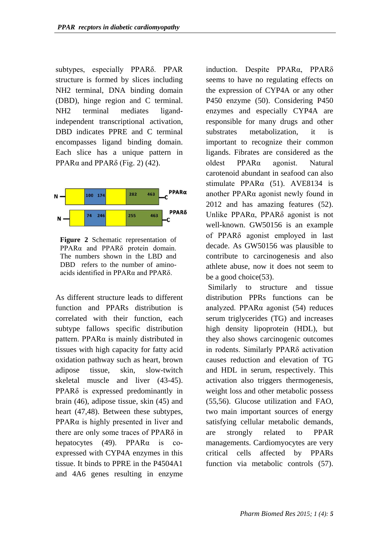subtypes, especially PPARδ. PPAR structure is formed by slices including NH2 terminal, DNA binding domain (DBD), hinge region and C terminal. NH2 terminal mediates ligandindependent transcriptional activation, DBD indicates PPRE and C terminal encompasses ligand binding domain. Each slice has a unique pattern in PPAR $\alpha$  and PPAR $\delta$  (Fig. 2) (42).





As different structure leads to different function and PPARs distribution is correlated with their function, each subtype fallows specific distribution pattern. PPARα is mainly distributed in tissues with high capacity for fatty acid oxidation pathway such as heart, brown adipose tissue, skin, slow-twitch skeletal muscle and liver (43-45). PPARδ is expressed predominantly in [brain](http://en.wikipedia.org/wiki/Brain) (46), [adipose tissue,](http://en.wikipedia.org/wiki/Adipose_tissue) [skin](http://en.wikipedia.org/wiki/Skin) (45) and heart (47,48). Between these subtypes, PPARα is highly presented in liver and there are only some traces of PPARδ in hepatocytes (49). PPAR $\alpha$  is coexpressed with CYP4A enzymes in this tissue. It binds to PPRE in the P4504A1 and 4A6 genes resulting in enzyme

induction. Despite PPARα, PPARδ seems to have no regulating effects on the expression of CYP4A or any other P450 enzyme (50). Considering P450 enzymes and especially CYP4A are responsible for many drugs and other substrates metabolization, it is important to recognize their common ligands. Fibrates are considered as the oldest PPARα agonist. Natural carotenoid abundant in seafood can also stimulate  $PPAR\alpha$  (51). AVE8134 is another PPARα agonist newly found in 2012 and has amazing features (52). Unlike PPARα, PPARδ agonist is not well-known. GW50156 is an example of PPARδ agonist employed in last decade. As GW50156 was plausible to contribute to carcinogenesis and also athlete abuse, now it does not seem to be a good choice(53).

Similarly to structure and tissue distribution PPRs functions can be analyzed. PPARα agonist (54) reduces serum triglycerides (TG) and increases high density lipoprotein (HDL), but they also shows carcinogenic outcomes in rodents. Similarly PPARδ activation causes reduction and elevation of TG and HDL in serum, respectively. This activation also triggers thermogenesis, weight loss and other metabolic possess (55,56). Glucose utilization and FAO, two main important sources of energy satisfying cellular metabolic demands, are strongly related to PPAR managements. Cardiomyocytes are very critical cells affected by PPARs function via metabolic controls (57).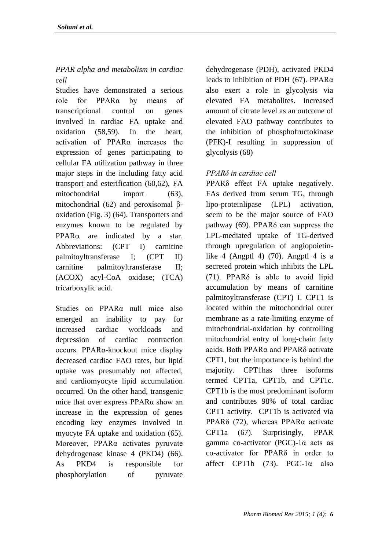# *PPAR alpha and metabolism in cardiac cell*

Studies have demonstrated a serious role for PPARα by means of transcriptional control on genes involved in cardiac FA uptake and oxidation (58,59). In the heart, activation of PPARα increases the expression of genes participating to cellular FA utilization pathway in three major steps in the including fatty acid transport and esterification (60,62), FA mitochondrial import (63), mitochondrial (62) and peroxisomal βoxidation (Fig. 3) (64). Transporters and enzymes known to be regulated by  $PPAR\alpha$  are indicated by a star. Abbreviations: (CPT I) carnitine palmitoyltransferase I; (CPT II) carnitine palmitoyltransferase II; (ACOX) acyl-CoA oxidase; (TCA) tricarboxylic acid.

Studies on PPARα null mice also emerged an inability to pay for increased cardiac workloads and depression of cardiac contraction occurs. PPARα-knockout mice display decreased cardiac FAO rates, but lipid uptake was presumably not affected, and cardiomyocyte lipid accumulation occurred. On the other hand, transgenic mice that over express PPARα show an increase in the expression of genes encoding key enzymes involved in myocyte FA uptake and oxidation (65). Moreover, PPARα activates pyruvate dehydrogenase kinase 4 (PKD4) (66). As PKD4 is responsible for phosphorylation of pyruvate

dehydrogenase (PDH), activated PKD4 leads to inhibition of PDH (67). PPARα also exert a role in glycolysis via elevated FA metabolites. Increased amount of citrate level as an outcome of elevated FAO pathway contributes to the inhibition of phosphofructokinase (PFK)-I resulting in suppression of glycolysis (68)

## *PPARδ in cardiac cell*

PPARδ effect FA uptake negatively. FAs derived from serum TG, through lipo-proteinlipase (LPL) activation, seem to be the major source of FAO pathway  $(69)$ . PPAR $\delta$  can suppress the LPL-mediated uptake of TG-derived through upregulation of angiopoietinlike 4 (Angptl 4)  $(70)$ . Angptl 4 is a secreted protein which inhibits the LPL (71). PPARδ is able to avoid lipid accumulation by means of carnitine palmitoyltransferase (CPT) I. CPT1 is located within the mitochondrial outer membrane as a rate-limiting enzyme of mitochondrial-oxidation by controlling mitochondrial entry of long-chain fatty acids. Both PPARα and PPARδ activate CPT1, but the importance is behind the majority. CPT1has three isoforms termed CPT1a, CPT1b, and CPT1c. CPT1b is the most predominant isoform and contributes 98% of total cardiac CPT1 activity. CPT1b is activated via PPARδ (72), whereas PPARα activate CPT1a (67). Surprisingly, PPAR gamma co-activator (PGC)-1α acts as co-activator for PPARδ in order to affect CPT1b  $(73)$ . PGC-1 $\alpha$  also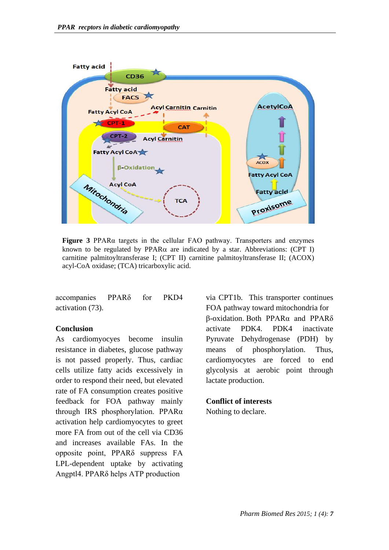

**Figure 3** PPARα targets in the cellular FAO pathway. Transporters and enzymes known to be regulated by PPAR $\alpha$  are indicated by a star. Abbreviations: (CPT I) carnitine palmitoyltransferase I; (CPT II) carnitine palmitoyltransferase II; (ACOX) acyl-CoA oxidase; (TCA) tricarboxylic acid.

accompanies PPARδ for PKD4 activation (73).

### **Conclusion**

As cardiomyocyes become insulin resistance in diabetes, glucose pathway is not passed properly. Thus, cardiac cells utilize fatty acids excessively in order to respond their need, but elevated rate of FA consumption creates positive feedback for FOA pathway mainly through IRS phosphorylation. PPARα activation help cardiomyocytes to greet more FA from out of the cell via CD36 and increases available FAs. In the opposite point, PPARδ suppress FA LPL-dependent uptake by activating Angptl4. PPARδ helps ATP production

via CPT1b. This transporter continues FOA pathway toward mitochondria for β-oxidation. Both PPARα and PPARδ activate PDK4. PDK4 inactivate Pyruvate Dehydrogenase (PDH) by means of phosphorylation. Thus, cardiomyocytes are forced to end glycolysis at aerobic point through lactate production.

### **Conflict of interests**

Nothing to declare.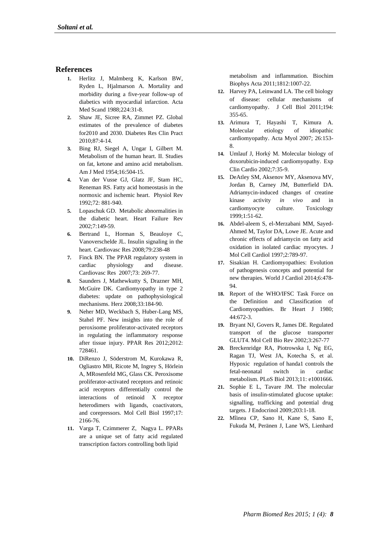#### **References**

- **1.** Herlitz J, Malmberg K, Karlson BW, Ryden L, Hjalmarson A. Mortality and morbidity during a five-year follow-up of diabetics with myocardial infarction. Acta Med Scand 1988;224:31-8.
- **2.** Shaw JE, Sicree RA, Zimmet PZ. Global estimates of the prevalence of diabetes for2010 and 2030. Diabetes Res Clin Pract 2010;87:4-14.
- **3.** Bing RJ, Siegel A, Ungar I, Gilbert M. Metabolism of the human heart. II. Studies on fat, ketone and amino acid metabolism. Am J Med 1954;16:504-15.
- **4.** Van der Vusse GJ, Glatz JF, Stam HC, Reneman RS. Fatty acid homeostasis in the normoxic and ischemic heart. Physiol Rev 1992;72: 881-940.
- **5.** Lopaschuk GD. Metabolic abnormalities in the diabetic heart. Heart Failure Rev 2002;7:149-59.
- **6.** Bertrand L, Horman S, Beauloye C, Vanoverschelde JL. Insulin signaling in the heart. Cardiovasc Res 2008;79:238-48
- **7.** Finck BN. The PPAR regulatory system in cardiac physiology and disease. Cardiovasc Res 2007;73: 269-77.
- **8.** Saunders J, Mathewkutty S, Drazner MH, McGuire DK. Cardiomyopathy in type 2 diabetes: update on pathophysiological mechanisms. Herz 2008;33:184-90.
- **9.** Neher MD, Weckbach S, Huber-Lang MS, Stahel PF. New insights into the role of peroxisome proliferator-activated receptors in regulating the inflammatory response after tissue injury. PPAR Res 2012;2012: 728461.
- **10.** DiRenzo J, [Söderstrom](http://www.ncbi.nlm.nih.gov/pubmed/?term=S%26%23x000f6%3Bderstrom%20M%5Bauth%5D) M, [Kurokawa](http://www.ncbi.nlm.nih.gov/pubmed/?term=Kurokawa%20R%5Bauth%5D) R, [Ogliastro](http://www.ncbi.nlm.nih.gov/pubmed/?term=Ogliastro%20MH%5Bauth%5D) MH, [Ricote](http://www.ncbi.nlm.nih.gov/pubmed/?term=Ricote%20M%5Bauth%5D) M, [Ingrey](http://www.ncbi.nlm.nih.gov/pubmed/?term=Ingrey%20S%5Bauth%5D) S, [Hörlein](http://www.ncbi.nlm.nih.gov/pubmed/?term=H%26%23x000f6%3Brlein%20A%5Bauth%5D) A, [MRosenfeld](http://www.ncbi.nlm.nih.gov/pubmed/?term=Rosenfeld%20MG%5Bauth%5D) MG, [Glass](http://www.ncbi.nlm.nih.gov/pubmed/?term=Glass%20CK%5Bauth%5D) CK. Peroxisome proliferator-activated receptors and retinoic acid receptors differentially control the interactions of retinoid X receptor heterodimers with ligands, coactivators, and corepressors. Mol Cell Biol 1997;17: 2166-76.
- **11.** Varga T, Czimmerer Z, Nagya L. PPARs are a unique set of fatty acid regulated transcription factors controlling both lipid

metabolism and inflammation. Biochim Biophys Acta 2011;1812:1007-22.

- **12.** Harvey PA, Leinwand LA. The cell biology of disease: cellular mechanisms of cardiomyopathy. J Cell Biol 2011;194: 355-65.
- **13.** Arimura T, Hayashi T, Kimura A. Molecular etiology of idiopathic cardiomyopathy. Acta Myol 2007; 26:153- 8.
- **14.** Umlauf J, Horký M. Molecular biology of doxorubicin-induced cardiomyopathy. Exp Clin Cardio 2002;7:35-9.
- **15.** DeAtley SM, Aksenov MY, Aksenova MV, Jordan B, Carney JM, Butterfield DA. Adriamycin-induced changes of creatine kinase activity *in vivo* and in cardiomyocyte culture. Toxicology 1999;1:51-62.
- **16.** Abdel-aleem S, el-Merzabani MM, Sayed-Ahmed M, Taylor DA, Lowe JE. Acute and chronic effects of adriamycin on fatty acid oxidation in isolated cardiac myocytes. J Mol Cell Cardiol 1997;2:789-97.
- **17.** [Sisakian H.](http://www.ncbi.nlm.nih.gov/pubmed/?term=Sisakian%20H%5BAuthor%5D&cauthor=true&cauthor_uid=24976920) Cardiomyopathies: Evolution of pathogenesis concepts and potential for new therapies. [World J Cardiol](http://www.ncbi.nlm.nih.gov/pubmed/24976920) 2014;6:478- 94.
- **18.** Report of the WHO/IFSC Task Force on the Definition and Classification of Cardiomyopathies. Br Heart J 1980; 44:672-3.
- **19.** Bryant NJ, Govers R, James DE. Regulated transport of the glucose transporter GLUT4. Mol Cell Bio Rev 2002;3:267-77
- **20.** Breckenridge RA, Piotrowska I, Ng EG, Ragan TJ, West JA, Kotecha S, et al. Hypoxic regulation of handa1 controls the fetal-neonatal switch in cardiac metabolism. PLoS Biol 2013;11: e1001666.
- **21.** Sophie E L, Tavare JM. The molecular basis of insulin-stimulated glucose uptake: signalling, trafficking and potential drug targets. J Endocrinol 2009;203:1-18.
- **22.** Mîinea CP, Sano H, Kane S, Sano E, Fukuda M, Peränen J, Lane WS, Lienhard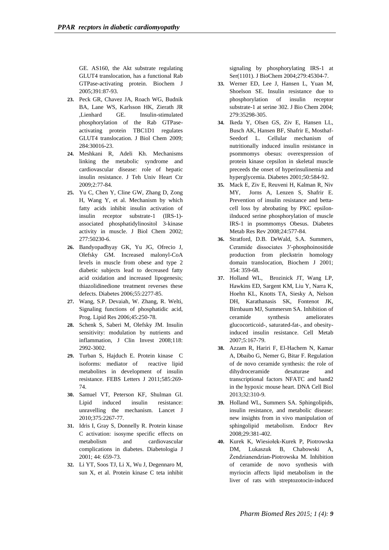GE. AS160, the Akt substrate regulating GLUT4 translocation, has a functional Rab GTPase-activating protein. Biochem J 2005;391:87-93.

- **23.** Peck GR, Chavez JA, Roach WG, Budnik BA, Lane WS, Karlsson HK, Zierath JR ,Lienhard GE. Insulin-stimulated phosphorylation of the Rab GTPaseactivating protein TBC1D1 regulates GLUT4 translocation. [J Biol](http://www.ncbi.nlm.nih.gov/pubmed/19740738) Chem 2009; 284:30016-23.
- **24.** Meshkani R, Adeli Kh. Mechanisms linking the metabolic syndrome and cardiovascular disease: role of hepatic insulin resistance. J Teh Univ Heart Ctr 2009;2:77-84.
- **25.** Yu C, Chen Y, Cline GW, Zhang D, Zong H, Wang Y, et al. Mechanism by which fatty acids inhibit insulin activation of insulin receptor substrate-1 (IRS-1) associated phosphatidylinositol 3-kinase activity in muscle. J Biol Chem 2002; 277:50230-6.
- **26.** Bandyopadhyay GK, Yu JG, Ofrecio J, Olefsky GM. Increased malonyl-CoA levels in muscle from obese and type 2 diabetic subjects lead to decreased fatty acid oxidation and increased lipogenesis; thiazolidinedione treatment reverses these defects. Diabetes 2006;55:2277-85.
- **27.** Wang, S.P. Devaiah, W. Zhang, R. Welti, Signaling functions of phosphatidic acid, Prog. Lipid Res 2006;45:250-78.
- **28.** Schenk S, Saberi M, Olefsky JM. Insulin sensitivity: modulation by nutrients and inflammation, J Clin Invest 2008;118: 2992-3002.
- **29.** Turban S, Hajduch E. Protein kinase C isoforms: mediator of reactive lipid metabolites in development of insulin resistance. FEBS Letters J 2011;585:269- 74.
- **30.** Samuel VT, Peterson KF, Shulman GI. Lipid induced insulin resistance: unravelling the mechanism. Lancet J 2010;375:2267-77.
- **31.** Idris I, Gray S, Donnelly R. Protein kinase C activation: isosyme specific effects on metabolism and cardiovascular complications in diabetes. Diabetologia J 2001; 44: 659-73.
- **32.** Li YT, Soos TJ, Li X, Wu J, Degennaro M, sun X, et al. Protein kinase C teta inhibit

signaling by phosphorylating IRS-1 at Ser(1101). J BioChem 2004;279:45304-7.

- **33.** Werner ED, Lee J, Hansen L, Yuan M, Shoelson SE. Insulin resistance due to phosphorylation of insulin receptor substrate-1 at serine 302. J Bio Chem 2004; 279:35298-305.
- **34.** Ikeda Y, Olsen GS, Ziv E, Hansen LL, Busch AK, Hansen BF, Shafrir E, Mosthaf-Seedorf L. Cellular mechanism of nutritionally induced insulin resistance in psommomys obesus: overexpression of protein kinase cepsilon in skeletal muscle preceeds the onset of hyperinsulinemia and hyperglycemia. Diabetes 2001;50:584-92.
- **35.** Mack E, Ziv E, Reuveni H, Kalman R, Niv MY, Jorns A, Lenzen S, Shafrir E. Prevention of insulin resistance and bettacell loss by abrobating by PKC epsiloniInduced serine phosphorylation of muscle IRS-1 in psommomys Obesus. Diabetes Metab Res Rev 2008;24:577-84.
- **36.** Stratford, D.B. DeWald, S.A. Summers, Ceramide dissociates 3′-phosphoinositide production from pleckstrin homology domain translocation, Biochem J 2001; 354: 359-68.
- **37.** Holland WL, Brozinick JT, Wang LP, Hawkins ED, Sargent KM, Liu Y, Narra K, Hoehn KL, Knotts TA, Siesky A, Nelson DH, Karathanasis SK, Fontenot JK, Birnbaum MJ, Summersm SA. Inhibition of ceramide synthesis ameliorates glucocorticoid-, saturated-fat-, and obesityinduced insulin resistance. Cell Metab 2007;5:167-79.
- **38.** [Azzam R,](http://www.ncbi.nlm.nih.gov/pubmed/?term=Azzam%20R%5BAuthor%5D&cauthor=true&cauthor_uid=23672204) [Hariri F,](http://www.ncbi.nlm.nih.gov/pubmed/?term=Hariri%20F%5BAuthor%5D&cauthor=true&cauthor_uid=23672204) [El-Hachem N,](http://www.ncbi.nlm.nih.gov/pubmed/?term=El-Hachem%20N%5BAuthor%5D&cauthor=true&cauthor_uid=23672204) [Kamar](http://www.ncbi.nlm.nih.gov/pubmed/?term=Kamar%20A%5BAuthor%5D&cauthor=true&cauthor_uid=23672204)  [A,](http://www.ncbi.nlm.nih.gov/pubmed/?term=Kamar%20A%5BAuthor%5D&cauthor=true&cauthor_uid=23672204) [Dbaibo G,](http://www.ncbi.nlm.nih.gov/pubmed/?term=Dbaibo%20G%5BAuthor%5D&cauthor=true&cauthor_uid=23672204) [Nemer G,](http://www.ncbi.nlm.nih.gov/pubmed/?term=Nemer%20G%5BAuthor%5D&cauthor=true&cauthor_uid=23672204) [Bitar F.](http://www.ncbi.nlm.nih.gov/pubmed/?term=Bitar%20F%5BAuthor%5D&cauthor=true&cauthor_uid=23672204) Regulation of de novo ceramide synthesis: the role of dihydroceramide desaturase and transcriptional factors NFATC and hand2 in the hypoxic mouse heart. [DNA Cell Biol](http://www.ncbi.nlm.nih.gov/pubmed/23672204) 2013;32:310-9.
- **39.** Holland WL, Summers SA. Sphingolipids, insulin resistance, and metabolic disease: new insights from in vivo manipulation of sphingolipid metabolism. Endocr Rev 2008;29:381-402.
- **40.** Kurek K, Wiesiołek-Kurek P, Piotrowska DM, Lukaszuk B, Chabowski Żendzianendzian-Piotrowska M. Inhibition of ceramide de novo synthesis with myriocin affects lipid metabolism in the liver of rats with streptozotocin-induced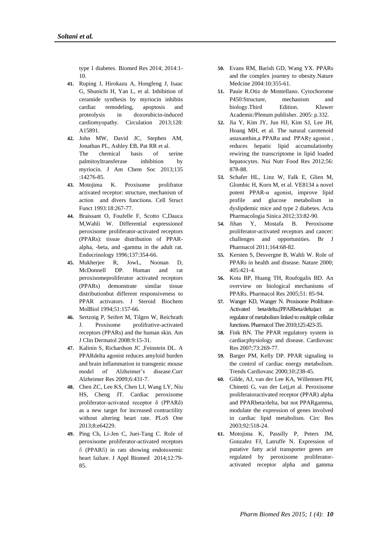type 1 diabetes. Biomed Res 2014; 2014:1- 10.

- **41.** Ruping J, Hirokazu A, Hongfeng J, Isaac G, Shunichi H, Yan L, et al. Inhibition of ceramide synthesis by myriocin inhibits cardiac remodeling, apoptosis and proteolysis in doxorubicin-induced cardiomyopathy. Circulation 2013;128: A15891.
- **42.** John MW, David JC, Stephen AM, Jonathan PL, Ashley EB, Pat RR et al. The chemical basis of serine palmitoyltransferase inhibition by myriocin. J Am Chem Soc 2013;135 :14276-85.
- **43.** Motojima K. Proxisome prolifrator activated receptor: structure, mechanism of action and divers functions. Cell Struct Funct 1993:18:267-77.
- **44.** Braissant O, Foufelle F, Scotto C,Dauca M,Wahli W. Differential expressionof peroxisome proliferator-activated receptors (PPARs): tissue distribution of PPARalpha, -beta, and -gamma in the adult rat. Endocrinology 1996;137:354-66.
- **45.** Mukherjee R, JowL, Noonan D, McDonnell DP. Human and rat peroxisomeproliferator activated receptors (PPARs) demonstrate similar tissue distributionbut different responsiveness to PPAR activators. J Steroid Biochem MolBiol 1994;51:157-66.
- **46.** Sertznig P, Seifert M, Tilgen W, Reichrath J. Proxisome prolifrative-activated receptors (PPARs) and the human skin. Am J Clin Dermatol 2008:9:15-31.
- **47.** Kalinin S, Richardson JC ,Feinstein DL. A PPARdelta agonist reduces amyloid burden and brain inflammation in transgenic mouse model of Alzheimer's disease.Curr Alzheimer Res 2009;6:431-7.
- **48.** [Chen ZC,](http://www.ncbi.nlm.nih.gov/pubmed/?term=Chen%20ZC%5BAuthor%5D&cauthor=true&cauthor_uid=23724037) [Lee KS,](http://www.ncbi.nlm.nih.gov/pubmed/?term=Lee%20KS%5BAuthor%5D&cauthor=true&cauthor_uid=23724037) [Chen LJ,](http://www.ncbi.nlm.nih.gov/pubmed/?term=Chen%20LJ%5BAuthor%5D&cauthor=true&cauthor_uid=23724037) [Wang LY,](http://www.ncbi.nlm.nih.gov/pubmed/?term=Wang%20LY%5BAuthor%5D&cauthor=true&cauthor_uid=23724037) [Niu](http://www.ncbi.nlm.nih.gov/pubmed/?term=Niu%20HS%5BAuthor%5D&cauthor=true&cauthor_uid=23724037)  [HS,](http://www.ncbi.nlm.nih.gov/pubmed/?term=Niu%20HS%5BAuthor%5D&cauthor=true&cauthor_uid=23724037) [Cheng JT.](http://www.ncbi.nlm.nih.gov/pubmed/?term=Cheng%20JT%5BAuthor%5D&cauthor=true&cauthor_uid=23724037) Cardiac peroxisome proliferator-activated receptor δ (PPARδ) as a new target for increased contractility without altering heart rate. [PLoS One](http://www.ncbi.nlm.nih.gov/pubmed/23724037) 2013;8:e64229.
- **49.** [Ping](http://www.sciencedirect.com/science/article/pii/S1214021X13000033) Ch, [Li-Jen C,](http://www.sciencedirect.com/science/article/pii/S1214021X13000033) [Juei-Tang C.](http://www.sciencedirect.com/science/article/pii/S1214021X13000033) Role of peroxisome proliferator-activated receptors δ (PPARδ) in rats showing endotoxemic heart failure. J Appl Biomed 2014;12:79- 85.
- **50.** Evans RM, Barish GD, Wang YX. PPARs and the complex journey to obesity.Nature Medcine 2004:10:355-61.
- **51.** Pauie R.Otiz de Montellano. Cytochorome P450:Structure, mechanism and biology.Third Edition. Kluwer Academic/Plenum publisher. 2005: p.332.
- **52.** Jia Y, Kim JY, Jun HJ, Kim SJ, Lee JH, Hoang MH, et al. The natural carotenoid astaxanthin,a PPARα and PPARγ agonist , reduces hepatic lipid accumulationby rewiring the transcriptome in lipid loaded hepatocytes. Nui Nutr Food Res 2012;56: 878-88.
- **53.** Schafer HL, Linz W, Falk E, Glien M, Glombic H, Korn M, et al. VE8134 a novel potent PPAR-α agonist, improve lipid profile and glucose metabolism in dyslipdemic mice and type 2 diabetes. Acta Pharmacologia Sinica 2012;33:82-90.
- **54.** [Jihan Y,](http://www.ncbi.nlm.nih.gov/pubmed/?term=Youssef%20J%5Bauth%5D) [Mostafa B.](http://www.ncbi.nlm.nih.gov/pubmed/?term=Badr%20M%5Bauth%5D) Peroxisome proliferator-activated receptors and cancer: challenges and opportunities. Br J Pharmacol 2011;164:68-82.
- **55.** Kersten S, Desvergne B, Wahli W. Role of PPARs in health and disease. Nature 2000;  $405 \cdot 421 - 4$
- **56.** Kota BP, Huang TH, Roufogalis BD. An overview on biological mechanisms of PPARs. Pharmacol Res 2005;51: 85-94.
- **57.** Wanger KD, Wanger N. Proxisome Prolifrator-Activated beta/delta.(PPARbeta/delta)act as regulator of metabolism linked to multiple cellular functions. Pharmacol Thre 2010;125:423-35.
- **58.** Fink BN. The PPAR regulatory system in cardiacphysiology and disease. Cardiovasc Res 2007;73:269-77.
- **59.** Barger PM, Kelly DP. PPAR signaling in the control of cardiac energy metabolism. Trends Cardiovasc 2000;10:238-45.
- **60.** Gilde, AJ, van der Lee KA, Willemsen PH, Chinetti G, van der Leij,et al. Peroxisome proliferatoractivated receptor (PPAR) alpha and PPARbeta/delta, but not PPARgamma, modulate the expression of genes involved in cardiac lipid metabolism. Circ Res 2003;92:518-24.
- **61.** Motojima K, Passilly P, Peters JM, Gonzalez FJ, Latruffe N. Expression of putative fatty acid transporter genes are regulated by peroxisome proliferatoractivated receptor alpha and gamma